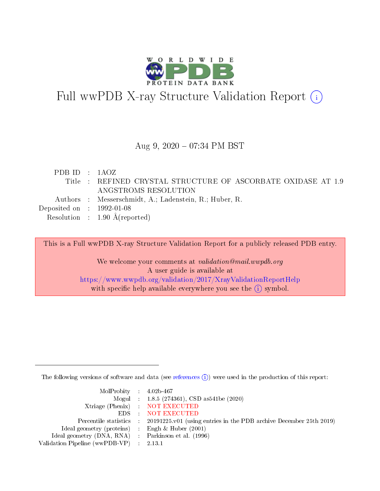

# Full wwPDB X-ray Structure Validation Report (i)

#### Aug 9, 2020 07:34 PM BST

| PDBID : 1AOZ                         |                                                               |
|--------------------------------------|---------------------------------------------------------------|
|                                      | Title : REFINED CRYSTAL STRUCTURE OF ASCORBATE OXIDASE AT 1.9 |
|                                      | ANGSTROMS RESOLUTION                                          |
|                                      | Authors : Messerschmidt, A.; Ladenstein, R.; Huber, R.        |
| Deposited on $\therefore$ 1992-01-08 |                                                               |
|                                      | Resolution : $1.90 \text{ Å}$ (reported)                      |

This is a Full wwPDB X-ray Structure Validation Report for a publicly released PDB entry.

We welcome your comments at validation@mail.wwpdb.org A user guide is available at <https://www.wwpdb.org/validation/2017/XrayValidationReportHelp> with specific help available everywhere you see the  $(i)$  symbol.

The following versions of software and data (see [references](https://www.wwpdb.org/validation/2017/XrayValidationReportHelp#references)  $(i)$ ) were used in the production of this report:

| $MolProbability$ 4.02b-467                          |                                                                                            |
|-----------------------------------------------------|--------------------------------------------------------------------------------------------|
|                                                     | Mogul : $1.8.5$ (274361), CSD as 541be (2020)                                              |
|                                                     | Xtriage (Phenix) NOT EXECUTED                                                              |
|                                                     | EDS NOT EXECUTED                                                                           |
|                                                     | Percentile statistics : 20191225.v01 (using entries in the PDB archive December 25th 2019) |
| Ideal geometry (proteins) :                         | Engh $\&$ Huber (2001)                                                                     |
| Ideal geometry (DNA, RNA) : Parkinson et al. (1996) |                                                                                            |
| Validation Pipeline (wwPDB-VP) : 2.13.1             |                                                                                            |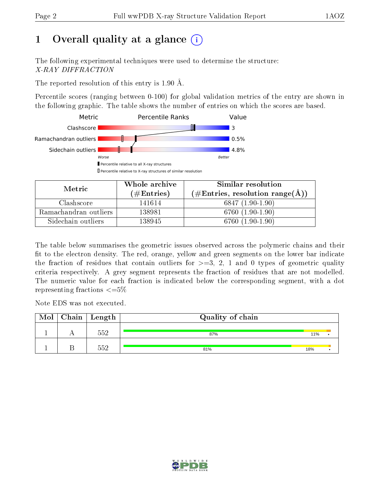## 1 [O](https://www.wwpdb.org/validation/2017/XrayValidationReportHelp#overall_quality)verall quality at a glance  $(i)$

The following experimental techniques were used to determine the structure: X-RAY DIFFRACTION

The reported resolution of this entry is 1.90  $\AA$ .

Percentile scores (ranging between 0-100) for global validation metrics of the entry are shown in the following graphic. The table shows the number of entries on which the scores are based.



| Metric                | Whole archive       | Similar resolution                                       |  |  |
|-----------------------|---------------------|----------------------------------------------------------|--|--|
|                       | (# $\rm{Entries}$ ) | $(\#\text{Entries}, \text{resolution range}(\text{\AA})$ |  |  |
| Clashscore            | 141614              | $6847(1.90-1.90)$                                        |  |  |
| Ramachandran outliers | 138981              | 6760 (1.90-1.90)                                         |  |  |
| Sidechain outliers    | 138945              | 6760 (1.90-1.90)                                         |  |  |

The table below summarises the geometric issues observed across the polymeric chains and their fit to the electron density. The red, orange, yellow and green segments on the lower bar indicate the fraction of residues that contain outliers for  $\geq=3$ , 2, 1 and 0 types of geometric quality criteria respectively. A grey segment represents the fraction of residues that are not modelled. The numeric value for each fraction is indicated below the corresponding segment, with a dot representing fractions  $\leq=5\%$ 

Note EDS was not executed.

| Mol | $\mid$ Chain $\mid$ Length | Quality of chain |     |  |
|-----|----------------------------|------------------|-----|--|
|     | 552                        | 87%              | 11% |  |
|     | 552                        | 81%              | 18% |  |

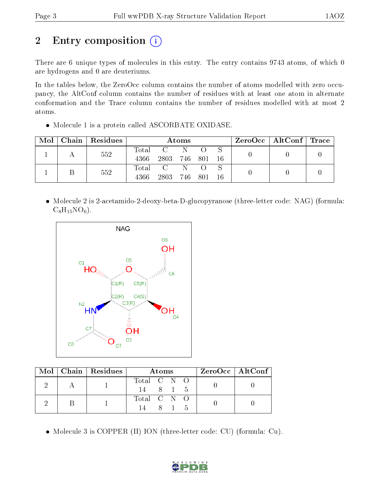## 2 Entry composition (i)

There are 6 unique types of molecules in this entry. The entry contains 9743 atoms, of which 0 are hydrogens and 0 are deuteriums.

In the tables below, the ZeroOcc column contains the number of atoms modelled with zero occupancy, the AltConf column contains the number of residues with at least one atom in alternate conformation and the Trace column contains the number of residues modelled with at most 2 atoms.

• Molecule 1 is a protein called ASCORBATE OXIDASE.

| Mol | Chain   Residues | Atoms         |                 |     |  | $\rm ZeroOcc \mid AltConf \mid Trace$ |  |  |
|-----|------------------|---------------|-----------------|-----|--|---------------------------------------|--|--|
|     | 552              | Total<br>4366 | 2803 746 801 16 | - N |  |                                       |  |  |
|     | 552              | Total<br>4366 | 2803 746 801 16 | - N |  |                                       |  |  |

 Molecule 2 is 2-acetamido-2-deoxy-beta-D-glucopyranose (three-letter code: NAG) (formula:  $C_8H_{15}NO_6$ .



|  | Mol   Chain   Residues | <b>Atoms</b>            |  |     |     | ZeroOcc   AltConf |
|--|------------------------|-------------------------|--|-----|-----|-------------------|
|  |                        | Total C N O<br>14 8 1 5 |  |     |     |                   |
|  |                        | Total C N O             |  | 8 1 | - 5 |                   |

Molecule 3 is COPPER (II) ION (three-letter code: CU) (formula: Cu).

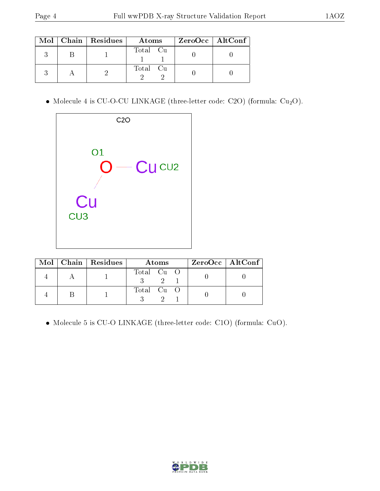|  | $Mol$   Chain   Residues | Atoms    |  | ZeroOcc   AltConf |
|--|--------------------------|----------|--|-------------------|
|  |                          | Total Cu |  |                   |
|  |                          | Total Cu |  |                   |

• Molecule 4 is CU-O-CU LINKAGE (three-letter code: C2O) (formula:  $Cu<sub>2</sub>O$ ).



|  | $Mol$   Chain   Residues | A toms     |  | $ZeroOcc \mid AltConf \mid$ |
|--|--------------------------|------------|--|-----------------------------|
|  |                          | Total Cu O |  |                             |
|  |                          | Total Cu O |  |                             |

Molecule 5 is CU-O LINKAGE (three-letter code: C1O) (formula: CuO).

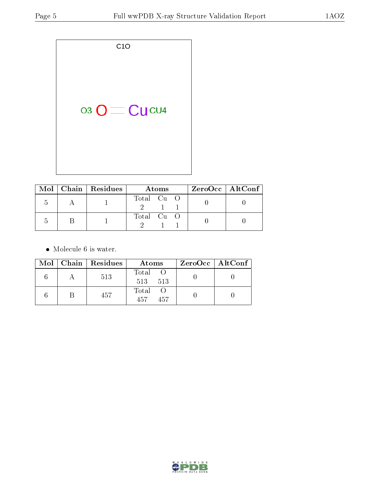| 03 O CU CU 4 |
|--------------|
|              |

|  | $\text{Mol}$   Chain   Residues | Atoms      |  |  | $ZeroOcc \mid AltConf \mid$ |  |
|--|---------------------------------|------------|--|--|-----------------------------|--|
|  |                                 | Total Cu O |  |  |                             |  |
|  |                                 |            |  |  |                             |  |
|  |                                 | Total Cu O |  |  |                             |  |
|  |                                 |            |  |  |                             |  |

• Molecule 6 is water.

|  | Mol   Chain   Residues | Atoms               |  | $ZeroOcc \   \ AltConf \  $ |
|--|------------------------|---------------------|--|-----------------------------|
|  | 513                    | Total O<br>513 513  |  |                             |
|  | 457                    | Total<br>457<br>457 |  |                             |

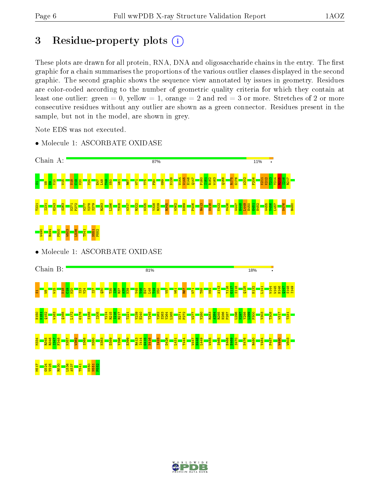## 3 Residue-property plots  $(i)$

These plots are drawn for all protein, RNA, DNA and oligosaccharide chains in the entry. The first graphic for a chain summarises the proportions of the various outlier classes displayed in the second graphic. The second graphic shows the sequence view annotated by issues in geometry. Residues are color-coded according to the number of geometric quality criteria for which they contain at least one outlier: green  $= 0$ , yellow  $= 1$ , orange  $= 2$  and red  $= 3$  or more. Stretches of 2 or more consecutive residues without any outlier are shown as a green connector. Residues present in the sample, but not in the model, are shown in grey.

Note EDS was not executed.

• Molecule 1: ASCORBATE OXIDASE



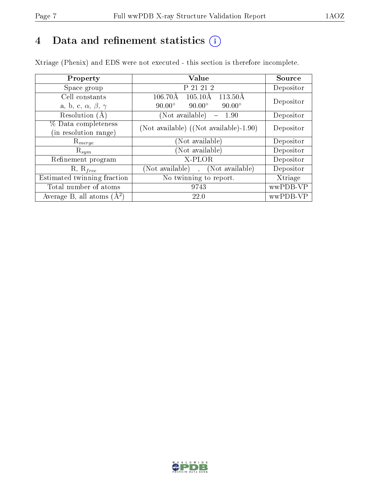## 4 Data and refinement statistics  $(i)$

Xtriage (Phenix) and EDS were not executed - this section is therefore incomplete.

| Property                               | Value                                               | Source    |  |
|----------------------------------------|-----------------------------------------------------|-----------|--|
| Space group                            | P 21 21 2                                           | Depositor |  |
| Cell constants                         | $106.70\text{\AA}$<br>113.50Å<br>$105.10\text{\AA}$ | Depositor |  |
| a, b, c, $\alpha$ , $\beta$ , $\gamma$ | $90.00^\circ$<br>$90.00^\circ$<br>$90.00^\circ$     |           |  |
| Resolution $(A)$                       | (Not available)<br>1.90                             | Depositor |  |
| % Data completeness                    | (Not available) ((Not available)-1.90)              | Depositor |  |
| (in resolution range)                  |                                                     |           |  |
| $\mathrm{R}_{merge}$                   | (Not available)                                     | Depositor |  |
| $\mathrm{R}_{sym}$                     | (Not available)                                     | Depositor |  |
| Refinement program                     | X-PLOR                                              | Depositor |  |
| $R, R_{free}$                          | (Not available), (Not available)                    | Depositor |  |
| Estimated twinning fraction            | No twinning to report.                              | Xtriage   |  |
| Total number of atoms                  | 9743                                                | wwPDB-VP  |  |
| Average B, all atoms $(A^2)$           | 22.0                                                | wwPDB-VP  |  |

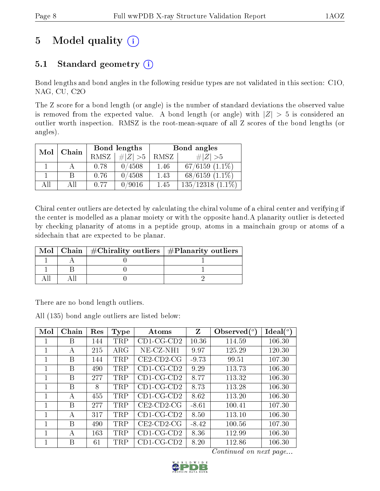## 5 Model quality  $(i)$

### 5.1 Standard geometry  $(i)$

Bond lengths and bond angles in the following residue types are not validated in this section: C1O, NAG, CU, C2O

The Z score for a bond length (or angle) is the number of standard deviations the observed value is removed from the expected value. A bond length (or angle) with  $|Z| > 5$  is considered an outlier worth inspection. RMSZ is the root-mean-square of all Z scores of the bond lengths (or angles).

| Mol | Chain | Bond lengths |             | Bond angles |                       |  |
|-----|-------|--------------|-------------|-------------|-----------------------|--|
|     |       | <b>RMSZ</b>  | $\ Z\  > 5$ | RMSZ        | $\# Z  > 5$           |  |
|     |       | 0.78         | 0/4508      | 1.46        | $67/6159$ $(1.1\%)$   |  |
|     |       | 0.76         | 0/4508      | 1.43        | $68/6159(1.1\%)$      |  |
| All | Аll   | 0.77         | 0/9016      | 1.45        | $135/12318$ $(1.1\%)$ |  |

Chiral center outliers are detected by calculating the chiral volume of a chiral center and verifying if the center is modelled as a planar moiety or with the opposite hand.A planarity outlier is detected by checking planarity of atoms in a peptide group, atoms in a mainchain group or atoms of a sidechain that are expected to be planar.

|  | Mol   Chain   $\#\text{Chirality outliers}$   $\#\text{Planarity outliers}$ |
|--|-----------------------------------------------------------------------------|
|  |                                                                             |
|  |                                                                             |
|  |                                                                             |

There are no bond length outliers.

All (135) bond angle outliers are listed below:

| Mol | Chain | Res | <b>Type</b> | Atoms         | Z       | Observed $(^\circ)$ | $\text{Ideal}({}^o)$ |
|-----|-------|-----|-------------|---------------|---------|---------------------|----------------------|
| 1   | Β     | 144 | TRP         | $CD1$ -CG-CD2 | 10.36   | 114.59              | 106.30               |
| 1   | А     | 215 | $\rm{ARG}$  | $NE- CZ-NH1$  | 9.97    | 125.29              | 120.30               |
| 1   | В     | 144 | <b>TRP</b>  | $CE2$ -CD2-CG | $-9.73$ | 99.51               | 107.30               |
| 1   | В     | 490 | TRP         | $CD1$ -CG-CD2 | 9.29    | 113.73              | 106.30               |
| 1   | В     | 277 | TRP         | $CD1-CG-CD2$  | 8.77    | 113.32              | 106.30               |
| 1   | В     | 8   | TRP         | $CD1$ -CG-CD2 | 8.73    | 113.28              | 106.30               |
| 1   | А     | 455 | TRP         | $CD1$ -CG-CD2 | 8.62    | 113.20              | 106.30               |
| 1   | B     | 277 | TRP         | $CE2$ -CD2-CG | $-8.61$ | 100.41              | 107.30               |
| 1   | A     | 317 | TRP         | $CD1-CG-CD2$  | 8.50    | 113.10              | 106.30               |
| 1   | В     | 490 | TRP         | $CE2$ -CD2-CG | $-8.42$ | 100.56              | 107.30               |
| 1   | А     | 163 | TRP         | $CD1$ -CG-CD2 | 8.36    | 112.99              | 106.30               |
| 1   | В     | 61  | TRP         | $CD1-CG-CD2$  | 8.20    | 112.86              | 106.30               |

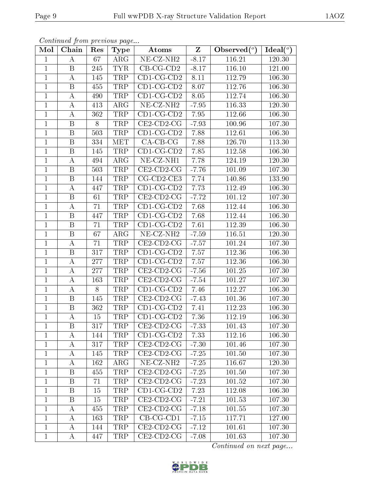| Mol            | Chain                   | Res | <b>Type</b>             | Atoms                           | $\mathbf{Z}$ | Observed $(°)$ | $\text{Ideal}({}^o)$ |
|----------------|-------------------------|-----|-------------------------|---------------------------------|--------------|----------------|----------------------|
| $\mathbf{1}$   | А                       | 67  | $\rm{ARG}$              | $\overline{\text{NE- CZ-NH2}}$  | $-8.17$      | 116.21         | 120.30               |
| $\mathbf{1}$   | B                       | 245 | <b>TYR</b>              | $\overline{CB}$ -CG-CD2         | $-8.17$      | 116.10         | 121.00               |
| $\mathbf{1}$   | А                       | 145 | <b>TRP</b>              | $CD1$ -CG-CD2                   | 8.11         | 112.79         | 106.30               |
| $\mathbf{1}$   | $\boldsymbol{B}$        | 455 | TRP                     | $CD1$ -CG-CD2                   | 8.07         | 112.76         | 106.30               |
| $\mathbf{1}$   | $\bf{A}$                | 490 | TRP                     | $\overline{\text{CD1-CG-CD2}}$  | 8.05         | 112.74         | 106.30               |
| $\mathbf{1}$   | $\bf{A}$                | 413 | $\rm{ARG}$              | NE-CZ-NH <sub>2</sub>           | $-7.95$      | 116.33         | 120.30               |
| $\mathbf{1}$   | $\bf{A}$                | 362 | TRP                     | $\overline{\text{CD}}$ 1-CG-CD2 | 7.95         | 112.66         | 106.30               |
| $\overline{1}$ | $\overline{\mathbf{B}}$ | 8   | TRP                     | $CE2$ -CD2-CG                   | $-7.93$      | 100.96         | 107.30               |
| $\mathbf{1}$   | $\boldsymbol{B}$        | 503 | TRP                     | $CD1$ -CG-CD2                   | 7.88         | 112.61         | 106.30               |
| $\mathbf{1}$   | $\boldsymbol{B}$        | 334 | <b>MET</b>              | $CA-CB-CG$                      | 7.88         | 126.70         | 113.30               |
| $\mathbf{1}$   | $\boldsymbol{B}$        | 145 | TRP                     | $CD1-CG-CD2$                    | 7.85         | 112.58         | 106.30               |
| $\overline{1}$ | $\boldsymbol{A}$        | 494 | $\overline{\text{ARG}}$ | $NE$ -CZ-NH1                    | 7.78         | 124.19         | 120.30               |
| $\mathbf{1}$   | $\boldsymbol{B}$        | 503 | TRP                     | $CE2$ -CD2-CG                   | $-7.76$      | 101.09         | 107.30               |
| $\mathbf{1}$   | $\boldsymbol{B}$        | 144 | TRP                     | CG-CD2-CE3                      | 7.74         | 140.86         | 133.90               |
| $\mathbf{1}$   | $\boldsymbol{A}$        | 447 | TRP                     | $CD1$ -CG-CD2                   | 7.73         | 112.49         | 106.30               |
| $\mathbf{1}$   | $\mathbf B$             | 61  | TRP                     | CE2-CD2-CG                      | $-7.72$      | 101.12         | 107.30               |
| $\mathbf{1}$   | $\boldsymbol{A}$        | 71  | TRP                     | $CD1$ -CG-CD2                   | 7.68         | 112.44         | 106.30               |
| $\mathbf{1}$   | $\, {\bf B}$            | 447 | TRP                     | $CD1$ -CG-CD2                   | 7.68         | 112.44         | 106.30               |
| $\mathbf{1}$   | $\boldsymbol{B}$        | 71  | TRP                     | $CD1-CG-CD2$                    | 7.61         | 112.39         | 106.30               |
| $\mathbf{1}$   | $\boldsymbol{B}$        | 67  | ARG                     | NE-CZ-NH <sub>2</sub>           | $-7.59$      | 116.51         | 120.30               |
| $\mathbf{1}$   | $\bf{A}$                | 71  | TRP                     | $CE2$ -CD2-CG                   | $-7.57$      | 101.24         | 107.30               |
| $\mathbf{1}$   | B                       | 317 | TRP                     | $CD1-CG-CD2$                    | 7.57         | 112.36         | 106.30               |
| $\mathbf{1}$   | А                       | 277 | TRP                     | $CD1-CG-CD2$                    | 7.57         | 112.36         | 106.30               |
| $\mathbf{1}$   | $\boldsymbol{A}$        | 277 | TRP                     | $CE2$ -CD2-CG                   | $-7.56$      | 101.25         | 107.30               |
| $\mathbf{1}$   | $\bf{A}$                | 163 | TRP                     | $CE2$ -CD2-CG                   | $-7.54$      | 101.27         | 107.30               |
| $\mathbf{1}$   | $\bf{A}$                | 8   | TRP                     | $CD1$ -CG-CD2                   | 7.46         | 112.27         | 106.30               |
| $\overline{1}$ | $\overline{\mathrm{B}}$ | 145 | <b>TRP</b>              | $\overline{\text{CE2-CD2-CG}}$  | $-7.43$      | 101.36         | 107.30               |
| $\mathbf{1}$   | B                       | 362 | TRP                     | $CD1-CG-CD2$                    | 7.41         | 112.23         | 106.30               |
| $\mathbf 1$    | $\boldsymbol{A}$        | 15  | <b>TRP</b>              | $CD1-CG-CD2$                    | 7.36         | 112.19         | 106.30               |
| $\perp$        | В                       | 317 | TRP                     | $CE2$ -CD2-CG                   | -7.33        | 101.43         | 107.30               |
| $\mathbf{1}$   | А                       | 144 | TRP                     | $CD1$ -CG-CD2                   | 7.33         | 112.16         | 106.30               |
| $\mathbf{1}$   | A                       | 317 | TRP                     | $CE2$ -CD2-CG                   | $-7.30$      | 101.46         | 107.30               |
| $\mathbf{1}$   | A                       | 145 | TRP                     | $CE2$ -CD2-CG                   | $-7.25$      | 101.50         | 107.30               |
| $\mathbf{1}$   | А                       | 162 | $\rm{ARG}$              | NE-CZ-NH <sub>2</sub>           | $-7.25$      | 116.67         | 120.30               |
| $\mathbf{1}$   | B                       | 455 | TRP                     | $CE2$ -CD2-CG                   | $-7.25$      | 101.50         | 107.30               |
| $\mathbf{1}$   | B                       | 71  | <b>TRP</b>              | $CE2$ -CD2-CG                   | $-7.23$      | 101.52         | $10\,7.30$           |
| $\mathbf{1}$   | B                       | 15  | TRP                     | $CD1-CG-CD2$                    | 7.23         | 112.08         | 106.30               |
| $\mathbf{1}$   | Β                       | 15  | TRP                     | $CE2$ -CD2-CG                   | $-7.21$      | 101.53         | 107.30               |
| $\mathbf{1}$   | A                       | 455 | TRP                     | $CE2$ -CD2-CG                   | $-7.18$      | 101.55         | 107.30               |
| $\mathbf{1}$   | A                       | 163 | TRP                     | $CB-CG-CD1$                     | $-7.15$      | 117.71         | 127.00               |
| $\mathbf{1}$   | A                       | 144 | <b>TRP</b>              | $CE2$ -CD2-CG                   | $-7.12$      | 101.61         | 107.30               |
| $\mathbf{1}$   | A                       | 447 | TRP                     | $CE2$ -CD2-CG                   | $-7.08$      | 101.63         | 107.30               |

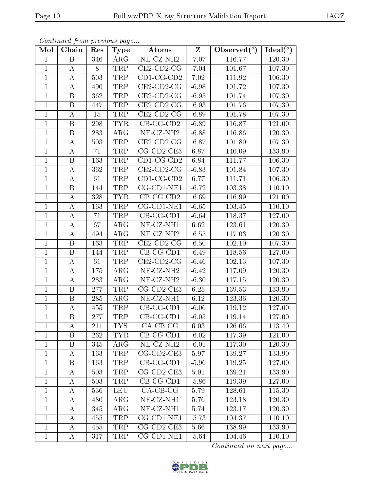| Mol            | Chain            | Res | Type                 | Atoms                          | $\mathbf{Z}$ | Observed $(\overline{\overline{\circ}})$ | Ideal $(\overline{\overline{O}})$ |
|----------------|------------------|-----|----------------------|--------------------------------|--------------|------------------------------------------|-----------------------------------|
| $\mathbf{1}$   | Β                | 346 | $\rm{ARG}$           | NE-CZ-NH <sub>2</sub>          | $-7.07$      | 116.77                                   | 120.30                            |
| $\mathbf{1}$   | А                | 8   | TRP                  | $CE2$ -CD2-CG                  | $-7.04$      | 101.67                                   | 107.30                            |
| $\mathbf{1}$   | А                | 503 | TRP                  | $CD1$ -CG-CD2                  | 7.02         | 111.92                                   | 106.30                            |
| $\mathbf{1}$   | A                | 490 | TRP                  | $CE2$ -CD2-CG                  | $-6.98$      | 101.72                                   | 107.30                            |
| $\mathbf{1}$   | $\boldsymbol{B}$ | 362 | TRP                  | $CE2$ -CD2-CG                  | $-6.95$      | 101.74                                   | $10\,7.30$                        |
| $\mathbf{1}$   | B                | 447 | $\operatorname{TRP}$ | $CE2$ -CD2-CG                  | $-6.93$      | 101.76                                   | 107.30                            |
| $\mathbf{1}$   | A                | 15  | TRP                  | $CE2$ -CD2-CG                  | $-6.89$      | 101.78                                   | 107.30                            |
| $\mathbf{1}$   | B                | 298 | <b>TYR</b>           | $CB-CG-CD2$                    | $-6.89$      | 116.87                                   | 121.00                            |
| $\mathbf{1}$   | $\, {\bf B}$     | 283 | $\rm{ARG}$           | NE-CZ-NH <sub>2</sub>          | $-6.88$      | 116.86                                   | 120.30                            |
| $\mathbf{1}$   | $\boldsymbol{A}$ | 503 | TRP                  | $CE2$ -CD2-CG                  | $-6.87$      | 101.80                                   | 107.30                            |
| $\mathbf{1}$   | А                | 71  | TRP                  | $CG$ - $CD$ 2- $CE3$           | 6.87         | 140.09                                   | 133.90                            |
| $\mathbf{1}$   | B                | 163 | TRP                  | $CD1-CG-CD2$                   | 6.84         | 111.77                                   | 106.30                            |
| $\mathbf{1}$   | А                | 362 | TRP                  | $CE2$ -CD2-CG                  | $-6.83$      | 101.84                                   | 107.30                            |
| $\mathbf{1}$   | $\boldsymbol{A}$ | 61  | TRP                  | $CD1$ -CG-CD2                  | 6.77         | $\overline{1}11.71$                      | 106.30                            |
| $\overline{1}$ | $\overline{B}$   | 144 | <b>TRP</b>           | $CG$ - $CD1$ - $NE1$           | $-6.72$      | 103.38                                   | 110.10                            |
| $\mathbf 1$    | $\boldsymbol{A}$ | 328 | <b>TYR</b>           | $CB-CG-CD2$                    | $-6.69$      | 116.99                                   | 121.00                            |
| $\mathbf{1}$   | А                | 163 | <b>TRP</b>           | $CG$ - $CD$ 1- $NE1$           | $-6.65$      | 103.45                                   | 110.10                            |
| $\mathbf{1}$   | А                | 71  | TRP                  | $CB-CG-CD1$                    | $-6.64$      | 118.37                                   | 127.00                            |
| $\mathbf{1}$   | А                | 67  | ARG                  | NE-CZ-NH1                      | 6.62         | 123.61                                   | 120.30                            |
| $\mathbf{1}$   | А                | 494 | $\rm{ARG}$           | NE-CZ-NH <sub>2</sub>          | $-6.55$      | 117.03                                   | 120.30                            |
| $\mathbf{1}$   | $\, {\bf B}$     | 163 | TRP                  | $CE2$ -CD2-CG                  | $-6.50$      | 102.10                                   | 107.30                            |
| $\mathbf{1}$   | B                | 144 | TRP                  | $CB-CG-CD1$                    | $-6.49$      | 118.56                                   | 127.00                            |
| $\mathbf{1}$   | Α                | 61  | TRP                  | $CE2$ -CD2-CG                  | $-6.46$      | 102.13                                   | 107.30                            |
| $\mathbf{1}$   | А                | 175 | $\rm{ARG}$           | NE-CZ-NH <sub>2</sub>          | $-6.42$      | 117.09                                   | 120.30                            |
| $\mathbf{1}$   | A                | 283 | $\rm{ARG}$           | NE-CZ-NH <sub>2</sub>          | $-6.30$      | 117.15                                   | 120.30                            |
| $\mathbf{1}$   | $\, {\bf B}$     | 277 | TRP                  | CG-CD2-CE3                     | 6.25         | 139.53                                   | 133.90                            |
| $\mathbf{1}$   | B                | 285 | ARG                  | $\overline{\text{NE- CZ-NH1}}$ | 6.12         | 123.36                                   | 120.30                            |
| $\mathbf{1}$   | $\boldsymbol{A}$ | 455 | TRP                  | $CB-CG-CD1$                    | $-6.06$      | 119.12                                   | 127.00                            |
| $\overline{1}$ | B                | 277 | TRP                  | $CB-CG-CD1$                    | $-6.05$      | 119.14                                   | 127.00                            |
| $\mathbf{1}$   | А                | 211 | LYS                  | $CA-CB-CG$                     | 6.03         | 126.66                                   | 113.40                            |
| $\mathbf 1$    | Β                | 262 | <b>TYR</b>           | $CB-CG-CD1$                    | $-6.02$      | 117.39                                   | 121.00                            |
| $\mathbf{1}$   | B                | 345 | ARG                  | NE-CZ-NH <sub>2</sub>          | $-6.01$      | 117.30                                   | 120.30                            |
| $\mathbf{1}$   | А                | 163 | TRP                  | $CG$ - $CD$ 2- $CE$ 3          | 5.97         | 139.27                                   | 133.90                            |
| $\overline{1}$ | $\boldsymbol{B}$ | 163 | <b>TRP</b>           | $CB-CG-CD1$                    | $-5.96$      | 119.25                                   | 127.00                            |
| 1              | А                | 503 | TRP                  | $CG$ - $CD$ 2- $CE3$           | 5.91         | 139.21                                   | 133.90                            |
| $\mathbf{1}$   | А                | 503 | TRP                  | $CB-CG-CD1$                    | $-5.86$      | 119.39                                   | 127.00                            |
| $\mathbf{1}$   | А                | 536 | <b>LEU</b>           | $CA-CB-CG$                     | 5.79         | 128.61                                   | 115.30                            |
| $\mathbf{1}$   | А                | 480 | ARG                  | NE-CZ-NH1                      | 5.76         | 123.18                                   | 120.30                            |
| $\mathbf{1}$   | A                | 345 | $\rm{ARG}$           | NE-CZ-NH1                      | 5.74         | 123.17                                   | 120.30                            |
| $\mathbf{1}$   | А                | 455 | TRP                  | CG-CD1-NE1                     | $-5.73$      | 104.37                                   | 110.10                            |
| $\mathbf{1}$   | A                | 455 | TRP                  | $CG$ - $CD$ 2- $CE3$           | 5.66         | 138.99                                   | 133.90                            |
| $\mathbf{1}$   | A                | 317 | TRP                  | $CG$ - $CD1$ - $NE1$           | $-5.64$      | 104.46                                   | 110.10                            |

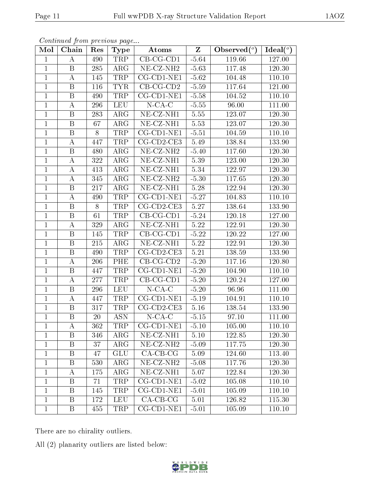| Mol            | Chain                   | Res | <b>Type</b> | Atoms                          | $\overline{z}$     | Observed $(°)$ | Ideal $(°)$ |
|----------------|-------------------------|-----|-------------|--------------------------------|--------------------|----------------|-------------|
| $\mathbf{1}$   | A                       | 490 | <b>TRP</b>  | $CB-CG-CD1$                    | $-5.64$            | 119.66         | 127.00      |
| $\mathbf{1}$   | B                       | 285 | $\rm{ARG}$  | NE-CZ-NH <sub>2</sub>          | $-5.63$            | 117.48         | 120.30      |
| $\overline{1}$ | А                       | 145 | <b>TRP</b>  | $CG$ - $CD1$ - $NE1$           | $-5.62$            | 104.48         | 110.10      |
| $\mathbf{1}$   | B                       | 116 | <b>TYR</b>  | $CB-CG-CD2$                    | $-5.59$            | 117.64         | 121.00      |
| $\mathbf{1}$   | $\mathbf B$             | 490 | <b>TRP</b>  | $CG$ - $CD1$ - $NE1$           | $-5.58$            | 104.52         | 110.10      |
| $\mathbf{1}$   | А                       | 296 | <b>LEU</b>  | $N$ -CA-C                      | $-5.55$            | 96.00          | 111.00      |
| $\mathbf{1}$   | $\mathbf B$             | 283 | $\rm{ARG}$  | NE-CZ-NH1                      | 5.55               | 123.07         | 120.30      |
| $\mathbf{1}$   | B                       | 67  | $\rm{ARG}$  | NE-CZ-NH1                      | 5.53               | 123.07         | 120.30      |
| $\mathbf{1}$   | $\boldsymbol{B}$        | 8   | TRP         | CG-CD1-NE1                     | $-5.51$            | 104.59         | 110.10      |
| $\mathbf{1}$   | А                       | 447 | TRP         | CG-CD2-CE3                     | 5.49               | 138.84         | 133.90      |
| $\mathbf{1}$   | $\mathbf{B}$            | 480 | $\rm{ARG}$  | $\overline{\text{NE}}$ -CZ-NH2 | $-5.40$            | 117.60         | 120.30      |
| $\mathbf{1}$   | A                       | 322 | ARG         | NE-CZ-NH1                      | 5.39               | 123.00         | 120.30      |
| $\mathbf{1}$   | A                       | 413 | $\rm{ARG}$  | NE-CZ-NH1                      | 5.34               | 122.97         | 120.30      |
| $\mathbf 1$    | A                       | 345 | ARG         | NE-CZ-NH <sub>2</sub>          | $-5.30$            | 117.65         | 120.30      |
| $\mathbf{1}$   | B                       | 217 | $\rm{ARG}$  | $NE- CZ-NH1$                   | 5.28               | 122.94         | 120.30      |
| $\mathbf{1}$   | $\boldsymbol{A}$        | 490 | TRP         | CG-CD1-NE1                     | $-5.27$            | 104.83         | 110.10      |
| $\mathbf{1}$   | B                       | 8   | TRP         | $CG$ - $CD$ 2- $CE$ 3          | 5.27               | 138.64         | 133.90      |
| $\,1$          | B                       | 61  | TRP         | $CB-CG-CD1$                    | $-5.24$            | 120.18         | 127.00      |
| $\mathbf{1}$   | $\boldsymbol{A}$        | 329 | $\rm{ARG}$  | NE-CZ-NH1                      | 5.22               | 122.91         | 120.30      |
| $\overline{1}$ | $\, {\bf B}$            | 145 | <b>TRP</b>  | $CB-CG-CD1$                    | $-5.\overline{22}$ | 120.22         | 127.00      |
| $\mathbf{1}$   | B                       | 215 | $\rm{ARG}$  | NE-CZ-NH1                      | 5.22               | 122.91         | 120.30      |
| $\overline{1}$ | $\overline{\mathrm{B}}$ | 490 | <b>TRP</b>  | CG-CD2-CE3                     | 5.21               | 138.59         | 133.90      |
| $\mathbf{1}$   | A                       | 206 | PHE         | $CB-CG-CD2$                    | $-5.20$            | 117.16         | 120.80      |
| $\mathbf{1}$   | $\boldsymbol{B}$        | 447 | TRP         | $CG$ - $CD1$ - $NE1$           | $-5.20$            | 104.90         | 110.10      |
| $\mathbf{1}$   | А                       | 277 | TRP         | $CB-CG-CD1$                    | $-5.20$            | 120.24         | 127.00      |
| $\mathbf{1}$   | $\mathbf{B}$            | 296 | <b>LEU</b>  | $N$ -CA-C                      | $-5.20$            | 96.96          | 111.00      |
| $\mathbf{1}$   | А                       | 447 | TRP         | $CG$ - $CD1$ - $NE1$           | $-5.19$            | 104.91         | 110.10      |
| $\mathbf{1}$   | $\, {\bf B}$            | 317 | TRP         | CG-CD2-CE3                     | $5.16\,$           | 138.54         | 133.90      |
| $\mathbf{1}$   | $\, {\bf B}$            | 20  | <b>ASN</b>  | $N$ -CA-C                      | $-5.15$            | 97.10          | 111.00      |
| 1              | А                       | 362 | TRP         | CG-CD1-NE1                     | $-5.10$            | 105.00         | 110.10      |
| $\mathbf{1}$   | Β                       | 346 | $\rm{ARG}$  | $NE- CZ-NH1$                   | 5.10               | 122.85         | 120.30      |
| $\mathbf{1}$   | Β                       | 37  | $\rm{ARG}$  | NE-CZ-NH <sub>2</sub>          | $-5.09$            | 117.75         | 120.30      |
| $\mathbf{1}$   | Β                       | 47  | <b>GLU</b>  | $CA-CB-CG$                     | 5.09               | 124.60         | 113.40      |
| $\mathbf{1}$   | B                       | 530 | $\rm{ARG}$  | NE-CZ-NH <sub>2</sub>          | $-5.08$            | 117.76         | 120.30      |
| $\mathbf{1}$   | A                       | 175 | $\rm{ARG}$  | NE-CZ-NH1                      | 5.07               | 122.84         | 120.30      |
| $\mathbf{1}$   | B                       | 71  | TRP         | $CG$ - $CD$ 1- $NE$ 1          | $-5.02$            | 105.08         | 110.10      |
| $\mathbf{1}$   | Β                       | 145 | TRP         | CG-CD1-NE1                     | $-5.01$            | 105.09         | 110.10      |
| 1              | B                       | 172 | <b>LEU</b>  | $CA-CB-CG$                     | 5.01               | 126.82         | 115.30      |
| $\mathbf{1}$   | B                       | 455 | <b>TRP</b>  | $CG$ - $CD$ 1- $NE1$           | $-5.01$            | 105.09         | 110.10      |

There are no chirality outliers.

All (2) planarity outliers are listed below:

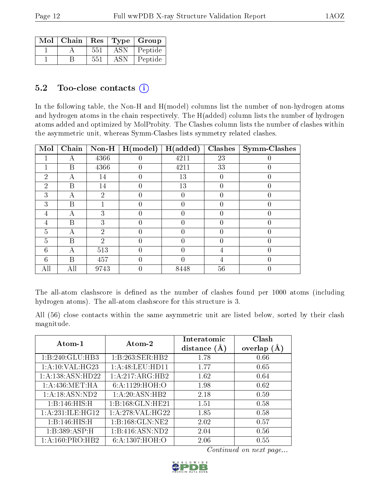| Mol | Chain | $\operatorname{Res}$ |            | Type   Group |
|-----|-------|----------------------|------------|--------------|
|     |       | 551                  | <b>ASN</b> | Peptide      |
|     |       | 551                  | ASN        | Peptide      |

#### $5.2$  Too-close contacts  $(i)$

In the following table, the Non-H and H(model) columns list the number of non-hydrogen atoms and hydrogen atoms in the chain respectively. The H(added) column lists the number of hydrogen atoms added and optimized by MolProbity. The Clashes column lists the number of clashes within the asymmetric unit, whereas Symm-Clashes lists symmetry related clashes.

| Mol            | $\overline{\text{Chain}}$ | $Non-H$        | H (model) | H(added) | <b>Clashes</b> | Symm-Clashes |
|----------------|---------------------------|----------------|-----------|----------|----------------|--------------|
|                | А                         | 4366           |           | 4211     | 23             |              |
|                | B                         | 4366           |           | 4211     | 33             |              |
| $\overline{2}$ | А                         | 14             | $\theta$  | 13       | $\left($       |              |
| $\overline{2}$ | Β                         | 14             |           | 13       |                |              |
| 3              | А                         | 2              |           |          |                |              |
| 3              | В                         |                | $\theta$  |          | $\left($       |              |
| 4              | А                         | 3              |           |          |                |              |
| 4              | B                         | 3              |           |          |                |              |
| 5              | А                         | 2              |           | 0        | $\left($       |              |
| $\overline{5}$ | B                         | $\overline{2}$ |           |          |                |              |
| 6              | А                         | 513            |           |          |                |              |
| 6              | В                         | 457            |           |          | 4              |              |
| All            | All                       | 9743           |           | 8448     | 56             |              |

The all-atom clashscore is defined as the number of clashes found per 1000 atoms (including hydrogen atoms). The all-atom clashscore for this structure is 3.

All (56) close contacts within the same asymmetric unit are listed below, sorted by their clash magnitude.

| Atom-1           | Atom-2              | Interatomic<br>distance $(A)$ | Clash<br>overlap $(\AA)$ |
|------------------|---------------------|-------------------------------|--------------------------|
| 1:B:240:GLU:HB3  | 1:B:263:SER:HB2     | 1.78                          | 0.66                     |
| 1:A:10:VAL:HG23  | 1: A:48: LEU: HD11  | 1.77                          | 0.65                     |
| 1:A:138:ASN:HD22 | 1:A:217:ARG:HB2     | 1.62                          | 0.64                     |
| 1: A:436: MET:HA | 6:A:1129:HOH:O      | 1.98                          | 0.62                     |
| 1: A:18: ASN:ND2 | 1:A:20:ASN:HB2      | 2.18                          | 0.59                     |
| 1:B:146:HIS:H    | 1:B:168:GLN:HE21    | 1.51                          | 0.58                     |
| 1:A:231:ILE:HG12 | 1: A:278: VAL:HG22  | 1.85                          | 0.58                     |
| 1:B:146:HIS:H    | 1: B: 168: GLN: NE2 | 2.02                          | 0.57                     |
| 1:B:389:ASP:H    | 1:B:416:ASN:ND2     | 2.04                          | 0.56                     |
| 1:A:160:PRO:HB2  | 6: A: 1307: HOH:O   | 2.06                          | 0.55                     |

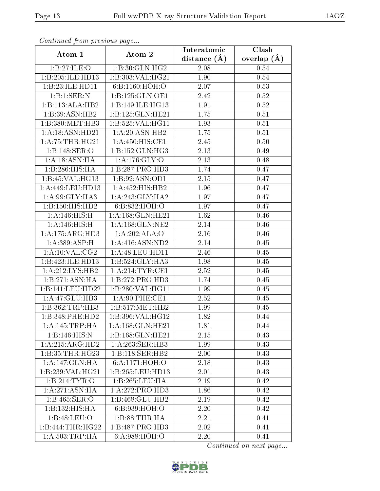| Continuata from previous page |                              | Interatomic    | Clash             |  |
|-------------------------------|------------------------------|----------------|-------------------|--|
| Atom-1                        | Atom-2                       | distance $(A)$ | overlap $(A)$     |  |
| 1:B:27:ILE:O                  | 1:B:30:GLN:HG2               | 2.08           | 0.54              |  |
| 1:B:205:ILE:HD13              | 1:B:303:VAL:HG21             | 1.90           | $0.54\,$          |  |
| 1:B:23:ILE:HD11               | 6:B:1160:HOH:O               | 2.07           | 0.53              |  |
| 1:B:1:SER:N                   | 1:B:125:GLN:OE1              | 2.42           | 0.52              |  |
| 1:B:113:ALA:HB2               | 1:B:149:ILE:HG13             | 1.91           | $0.52\,$          |  |
| 1:B:39:ASN:HB2                | 1:B:125:GLN:HE21             | 1.75           | 0.51              |  |
| 1:B:380:MET:HB3               | 1:B:525:VAL:HG11             | 1.93           | 0.51              |  |
| 1: A: 18: ASN: HD21           | 1:A:20:ASN:HB2               | 1.75           | 0.51              |  |
| 1: A:75:THR:HG21              | 1: A:450:HIS:CE1             | 2.45           | $\overline{0.5}0$ |  |
| 1:B:148:SER:O                 | 1:B:152:GLN:HG3              | 2.13           | 0.49              |  |
| 1:A:18:ASN:HA                 | 1: A:176: GLY:O              | 2.13           | 0.48              |  |
| 1:B:286:HIS:HA                | 1:B:287:PRO:HD3              | 1.74           | 0.47              |  |
| 1:B:45:VAL:HG13               | 1:B:92:ASN:OD1               | 2.15           | 0.47              |  |
| 1:A:449:LEU:HD13              | 1:A:452:HIS:HB2              | 1.96           | 0.47              |  |
| 1: A:99: GLY: HA3             | 1:A:243:GLY:HA2              | 1.97           | 0.47              |  |
| 1:B:150:HIS:HD2               | 6:B:832:HOH:O                | 1.97           | 0.47              |  |
| 1: A:146: HIS:H               | 1:A:168:GLN:HE21             | 1.62           | 0.46              |  |
| 1: A:146: HIS:H               | 1: A: 168: GLN: NE2          | 2.14           | 0.46              |  |
| 1:A:175:ARG:HD3               | 1:A:202:ALA:O                | 2.16           | 0.46              |  |
| 1:A:389:ASP:H                 | 1: A:416: ASN:ND2            | 2.14           | 0.45              |  |
| 1: A:10: VAL: CG2             | 1: A:48: LEU: HD11           | 2.46           | 0.45              |  |
| 1:B:423:ILE:HD13              | 1:B:524:GLY:HA3              | 1.98           | 0.45              |  |
| 1:A:212:LYS:HB2               | 1: A:214:TYR:CE1             | 2.52           | 0.45              |  |
| 1:B:271:ASN:HA                | 1:B:272:PRO:HD3              | 1.74           | 0.45              |  |
| 1:B:141:LEU:HD22              | 1:B:280:VAL:HG11             | 1.99           | 0.45              |  |
| 1:A:47:GLU:HB3                | 1: A:90: PHE:CE1             | 2.52           | 0.45              |  |
| 1:B:362:TRP:HB3               | 1:B:517:MET:HB2              | 1.99           | 0.45              |  |
| 1:B:348:PHE:HD2               | 1:B:396:VAL:HG12             | 1.82           | 0.44              |  |
| 1:A:145:TRP:HA                | 1: A: 168: GLN: HE21         | 1.81           | 0.44              |  |
| 1:B:146:HIS:N                 | 1:B:168:GLN:HE21             | 2.15           | 0.43              |  |
| 1:A:215:ARG:HD2               | 1: A:263: SER:HB3            | 1.99           | 0.43              |  |
| 1:B:35:THR:HG23               | 1:B:118:SER:HB2              | 2.00           | 0.43              |  |
| $1:A:147:\overline{GLN:HA}$   | 6: A: 1171: HOH: O           | 2.18           | 0.43              |  |
| 1:B:239:VAL:HG21              | 1:B:265:LEU:HD13             | 2.01           | 0.43              |  |
| 1:B:214:TYR:O                 | 1:B:265:LEU:HA               | 2.19           | 0.42              |  |
| 1:A:271:ASN:HA                | $1:A:272:P\overline{RO:HD3}$ | 1.86           | 0.42              |  |
| 1:B:465:SER:O                 | 1:B:468:GLU:HB2              | 2.19           | 0.42              |  |
| 1:B:132:HIS:HA                | 6:B:939:HOH:O                | 2.20           | 0.42              |  |
| 1:B:48:LEU:O                  | 1:B:88:THR:HA                | 2.21           | 0.41              |  |
| 1:B:444:THR:HG22              | 1:B:487:PRO:HD3              | 2.02           | 0.41              |  |
| 1: A:503:TRP:HA               | 6: A:988: HOH:O              | 2.20           | 0.41              |  |

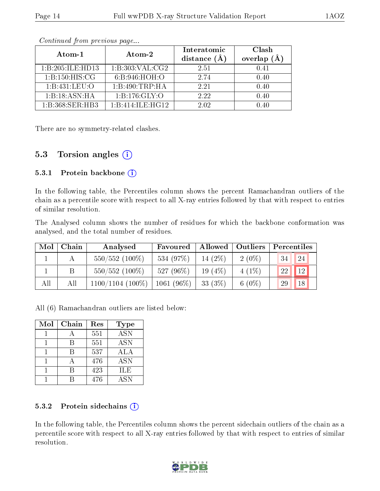| Atom-1                                    | Atom-2            | Interatomic<br>distance $(A)$ | Clash<br>overlap<br>(A) |
|-------------------------------------------|-------------------|-------------------------------|-------------------------|
| 1:B:205:ILE:HD13                          | 1:B:303:VAL:CG2   | 2.51                          | 0.41                    |
| 1: B: 150: HIS: CG                        | 6: B:946: HOH:O   | 2.74                          | 0.40                    |
| 1: B: 431: LEU: O                         | 1:B:490:TRP:HA    | 2.21                          | 0.40                    |
| 1:B:18:ASN:HA                             | 1: B: 176: GLY: O | 2.22                          | 0.40                    |
| $1 \cdot R \cdot 368 \cdot SFR \cdot HR3$ | 1:B:414:ILE:HG12  | 2.02                          |                         |

There are no symmetry-related clashes.

#### 5.3 Torsion angles  $(i)$

#### 5.3.1 Protein backbone  $(i)$

In the following table, the Percentiles column shows the percent Ramachandran outliers of the chain as a percentile score with respect to all X-ray entries followed by that with respect to entries of similar resolution.

The Analysed column shows the number of residues for which the backbone conformation was analysed, and the total number of residues.

| Mol | Chain | Analysed           | Favoured     |           | Allowed   Outliers |        | Percentiles |
|-----|-------|--------------------|--------------|-----------|--------------------|--------|-------------|
|     |       | $550/552$ (100%)   | 534 (97%)    | 14 (2%)   | $2(0\%)$           | $-34V$ | -24         |
|     |       | $550/552$ (100%)   | 527 (96%)    | $19(4\%)$ | $4(1\%)$           | 22     |             |
| All | All   | $1100/1104$ (100%) | $1061(96\%)$ | 33 $(3%)$ | 6 $(0\%)$          | 29     | 18          |

All (6) Ramachandran outliers are listed below:

| Mol | Chain | Res | <b>Type</b> |
|-----|-------|-----|-------------|
|     |       | 551 | <b>ASN</b>  |
|     | R     | 551 | <b>ASN</b>  |
|     | R     | 537 | ALA         |
|     |       | 476 | <b>ASN</b>  |
|     |       | 423 | <b>ILE</b>  |
|     |       | 476 | <b>ASN</b>  |

#### 5.3.2 Protein sidechains  $(i)$

In the following table, the Percentiles column shows the percent sidechain outliers of the chain as a percentile score with respect to all X-ray entries followed by that with respect to entries of similar resolution.

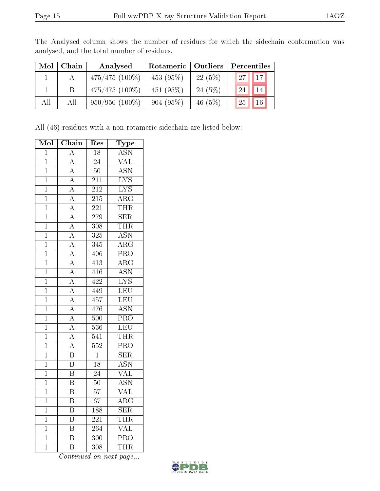| Mol | Chain | Analysed         | Rotameric | <b>Outliers</b> | Percentiles |
|-----|-------|------------------|-----------|-----------------|-------------|
|     |       | $475/475(100\%)$ | 453(95%)  | 22(5%)          | 27<br>17    |
|     |       | $475/475(100\%)$ | 451(95%)  | 24(5%)          | 14<br>24    |
| All | All   | $950/950(100\%)$ | 904(95%)  | 46 $(5%)$       | 25<br>16    |

The Analysed column shows the number of residues for which the sidechain conformation was analysed, and the total number of residues.

All (46) residues with a non-rotameric sidechain are listed below:

| Mol            | Chain                   | Res              | Type                    |
|----------------|-------------------------|------------------|-------------------------|
| $\mathbf 1$    | $\boldsymbol{A}$        | 18               | <b>ASN</b>              |
| $\overline{1}$ | $\overline{\rm A}$      | $\overline{24}$  | $\overline{\text{VAL}}$ |
| $\mathbf{1}$   | $\overline{A}$          | $\overline{50}$  | <b>ASN</b>              |
| $\overline{1}$ | $\overline{A}$          | $\overline{211}$ | $\overline{\text{LYS}}$ |
| $\overline{1}$ | $\overline{A}$          | 212              | $\overline{\text{LYS}}$ |
| $\overline{1}$ | $\overline{\rm A}$      | $\overline{21}5$ | $\overline{\rm{ARG}}$   |
| $\overline{1}$ | $\overline{\rm A}$      | $\overline{221}$ | <b>THR</b>              |
| $\mathbf{1}$   | $\overline{A}$          | 279              | $\overline{\text{SER}}$ |
| $\overline{1}$ | $\overline{A}$          | $\overline{308}$ | THR                     |
| $\mathbf{1}$   | $\overline{A}$          | 325              | <b>ASN</b>              |
| $\mathbf{1}$   | $\overline{\rm A}$      | 345              | $\overline{\rm ARG}$    |
| $\overline{1}$ | $\overline{\rm A}$      | 406              | PRO                     |
| $\mathbf{1}$   | $\overline{A}$          | $4\overline{13}$ | $\overline{\text{ARG}}$ |
| $\overline{1}$ | $\overline{A}$          | 416              | <b>ASN</b>              |
| $\overline{1}$ | $\overline{A}$          | 422              | $\overline{\text{LYS}}$ |
| $\overline{1}$ | $\overline{A}$          | 449              | LEU                     |
| $\overline{1}$ | $\overline{\rm A}$      | 457              | LEU                     |
| $\mathbf{1}$   | $\overline{A}$          | 476              | $\overline{\text{ASN}}$ |
| $\overline{1}$ | $\overline{A}$          | 500              | PRO                     |
| $\overline{1}$ | $\overline{A}$          | 536              | $\overline{\text{LEU}}$ |
| $\mathbf 1$    | $\overline{A}$          | $\overline{541}$ | <b>THR</b>              |
| $\overline{1}$ | $\overline{A}$          | 552              | $\overline{\text{PRO}}$ |
| $\overline{1}$ | $\overline{\mathrm{B}}$ | $\overline{1}$   | $\overline{\text{SER}}$ |
| $\overline{1}$ | $\overline{\mathrm{B}}$ | $\overline{18}$  | $\overline{\text{ASN}}$ |
| $\overline{1}$ | $\overline{\mathrm{B}}$ | $\overline{24}$  | $\overline{\text{VAL}}$ |
| $\overline{1}$ | $\overline{\mathrm{B}}$ | $\overline{50}$  | $\overline{\text{ASN}}$ |
| $\overline{1}$ | $\overline{\mathrm{B}}$ | $\overline{57}$  | VAL                     |
| $\overline{1}$ | $\overline{\mathrm{B}}$ | $\overline{67}$  | $\overline{\rm{ARG}}$   |
| $\overline{1}$ | $\overline{\mathrm{B}}$ | 188              | $\overline{\text{SER}}$ |
| $\mathbf{1}$   | $\overline{\mathrm{B}}$ | 221              | <b>THR</b>              |
| $\overline{1}$ | $\overline{\mathrm{B}}$ | 264              | <b>VAL</b>              |
| $\overline{1}$ | $\overline{\mathrm{B}}$ | 300              | $\overline{\text{PRO}}$ |
| $\overline{1}$ | $\overline{\mathrm{B}}$ | 308              | THR                     |

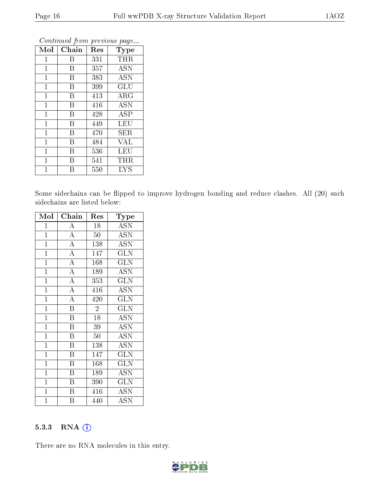| Mol          | Chain | Res | Type       |
|--------------|-------|-----|------------|
| $\mathbf{1}$ | В     | 331 | THR        |
| 1            | B     | 357 | <b>ASN</b> |
| 1            | B     | 383 | <b>ASN</b> |
| $\mathbf{1}$ | B     | 399 | GLU        |
| $\mathbf{1}$ | B     | 413 | ARG        |
| $\mathbf{1}$ | B     | 416 | <b>ASN</b> |
| $\mathbf 1$  | B     | 428 | ASP        |
| 1            | B     | 449 | LEU        |
| $\mathbf{1}$ | B     | 470 | SER        |
| $\mathbf{1}$ | B     | 484 | VAL        |
| 1            | B     | 536 | LEU        |
| $\mathbf{1}$ | В     | 541 | THR        |
| 1            | В     | 550 | <b>LYS</b> |

Some sidechains can be flipped to improve hydrogen bonding and reduce clashes. All (20) such sidechains are listed below:

| Mol            | Chain                   | Res            | $_{\rm Type}$                      |
|----------------|-------------------------|----------------|------------------------------------|
| $\mathbf 1$    | $\overline{\rm A}$      | 18             | ASN                                |
| $\mathbf{1}$   | $\overline{\rm A}$      | $50\,$         | <b>ASN</b>                         |
| $\mathbf{1}$   | $\overline{\rm A}$      | 138            | <b>ASN</b>                         |
| $\mathbf{1}$   | $\overline{A}$          | 147            | <b>GLN</b>                         |
| $\mathbf{1}$   | $\overline{A}$          | 168            | <b>GLN</b>                         |
| $\overline{1}$ | $\overline{A}$          | 189            | ASN                                |
| $\mathbf{1}$   | $\overline{\rm A}$      | 353            | <b>GLN</b>                         |
| $\overline{1}$ | $\overline{\rm A}$      | 416            | $\overline{\text{ASN}}$            |
| $\overline{1}$ | $\overline{A}$          | 420            | GLN                                |
| $\overline{1}$ | $\overline{\mathrm{B}}$ | $\overline{2}$ | GLN                                |
| $\overline{1}$ | $\overline{\mathrm{B}}$ | 18             | <b>ASN</b>                         |
| $\mathbf{1}$   | $\, {\bf B}$            | 39             | <b>ASN</b>                         |
| $\overline{1}$ | $\overline{\mathrm{B}}$ | 50             | $\overline{\mathrm{A}}\mathrm{SN}$ |
| $\mathbf{1}$   | $\overline{B}$          | 138            | <b>ASN</b>                         |
| $\mathbf{1}$   | $\overline{\mathrm{B}}$ | 147            | GLN                                |
| $\mathbf{1}$   | $\boldsymbol{B}$        | 168            | GLN                                |
| $\mathbf{1}$   | $\, {\bf B}$            | 189            | ASN                                |
| $\overline{1}$ | $\overline{\mathrm{B}}$ | 390            | $\overline{\text{GLN}}$            |
| $\mathbf{1}$   | B                       | 416            | <b>ASN</b>                         |
| $\mathbf 1$    | $\overline{B}$          | 440            | <b>ASN</b>                         |

#### 5.3.3 RNA (i)

There are no RNA molecules in this entry.

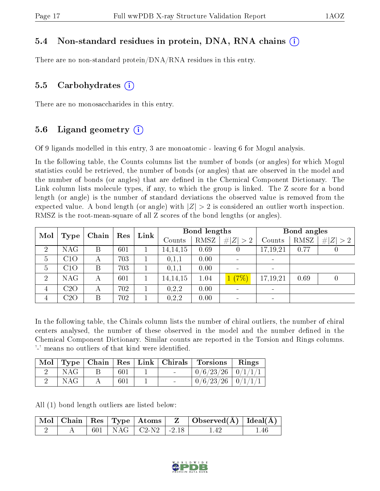#### 5.4 Non-standard residues in protein, DNA, RNA chains (i)

There are no non-standard protein/DNA/RNA residues in this entry.

#### 5.5 Carbohydrates (i)

There are no monosaccharides in this entry.

#### 5.6 Ligand geometry  $(i)$

Of 9 ligands modelled in this entry, 3 are monoatomic - leaving 6 for Mogul analysis.

In the following table, the Counts columns list the number of bonds (or angles) for which Mogul statistics could be retrieved, the number of bonds (or angles) that are observed in the model and the number of bonds (or angles) that are dened in the Chemical Component Dictionary. The Link column lists molecule types, if any, to which the group is linked. The Z score for a bond length (or angle) is the number of standard deviations the observed value is removed from the expected value. A bond length (or angle) with  $|Z| > 2$  is considered an outlier worth inspection. RMSZ is the root-mean-square of all Z scores of the bond lengths (or angles).

| Mol            |            |       |     | Link | Bond lengths |      |             | Bond angles    |      |             |
|----------------|------------|-------|-----|------|--------------|------|-------------|----------------|------|-------------|
|                | Type       | Chain | Res |      | Counts       | RMSZ | # $ Z  > 2$ | Counts         | RMSZ | # $ Z  > 2$ |
| $\overline{2}$ | NAG        | Β     | 601 |      | 14, 14, 15   | 0.69 |             | 17,19,21       | 0.77 | U           |
| 5              | C1O        | А     | 703 |      | 0,1,1        | 0.00 |             |                |      |             |
| $\overline{5}$ | C1O        |       | 703 |      | 0,1,1        | 0.00 |             |                |      |             |
| $\overline{2}$ | <b>NAG</b> | А     | 601 |      | 14, 14, 15   | 1.04 | 1(7%)       | 17,19,21       | 0.69 | 0           |
| 4              | C2O        | А     | 702 |      | 0, 2, 2      | 0.00 |             | $\blacksquare$ |      |             |
| 4              | C2O        |       | 702 |      | 0,2,2        | 0.00 |             |                |      |             |

In the following table, the Chirals column lists the number of chiral outliers, the number of chiral centers analysed, the number of these observed in the model and the number defined in the Chemical Component Dictionary. Similar counts are reported in the Torsion and Rings columns. '-' means no outliers of that kind were identified.

| Mol | $\parallel$ Type $\parallel$ |     | Chain   Res   Link   Chirals | $\mid$ Torsions $\mid$  | Rings |
|-----|------------------------------|-----|------------------------------|-------------------------|-------|
|     | NAG                          | 601 |                              | $0/6/23/26$   $0/1/1/1$ |       |
|     | NAG                          | 601 |                              | $0/6/23/26$   $0/1/1/1$ |       |

All (1) bond length outliers are listed below:

|  |  |                             | $\begin{array}{ c c c c c c }\hline \text{Mol} & \text{Chain} & \text{Res} & \text{Type} & \text{Atoms} & \text{Z} & \text{Observed(A)} & \text{Ideal(A)} \hline \end{array}$ |      |
|--|--|-----------------------------|-------------------------------------------------------------------------------------------------------------------------------------------------------------------------------|------|
|  |  | $601$   NAG   C2-N2   -2.18 | -142                                                                                                                                                                          | 1.46 |

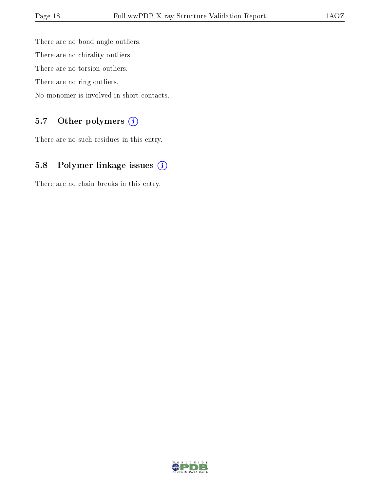There are no bond angle outliers. There are no chirality outliers. There are no torsion outliers. There are no ring outliers. No monomer is involved in short contacts.

#### 5.7 [O](https://www.wwpdb.org/validation/2017/XrayValidationReportHelp#nonstandard_residues_and_ligands)ther polymers (i)

There are no such residues in this entry.

### 5.8 Polymer linkage issues (i)

There are no chain breaks in this entry.